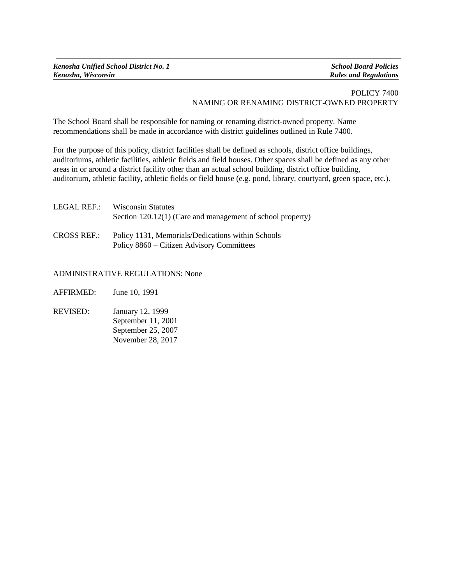*Kenosha, Wisconsin Rules and Regulations*

## POLICY 7400 NAMING OR RENAMING DISTRICT-OWNED PROPERTY

The School Board shall be responsible for naming or renaming district-owned property. Name recommendations shall be made in accordance with district guidelines outlined in Rule 7400.

For the purpose of this policy, district facilities shall be defined as schools, district office buildings, auditoriums, athletic facilities, athletic fields and field houses. Other spaces shall be defined as any other areas in or around a district facility other than an actual school building, district office building, auditorium, athletic facility, athletic fields or field house (e.g. pond, library, courtyard, green space, etc.).

| LEGAL REF.:        | <b>Wisconsin Statutes</b><br>Section 120.12(1) (Care and management of school property)        |
|--------------------|------------------------------------------------------------------------------------------------|
| <b>CROSS REF.:</b> | Policy 1131, Memorials/Dedications within Schools<br>Policy 8860 – Citizen Advisory Committees |

ADMINISTRATIVE REGULATIONS: None

AFFIRMED: June 10, 1991

REVISED: January 12, 1999 September 11, 2001 September 25, 2007 November 28, 2017